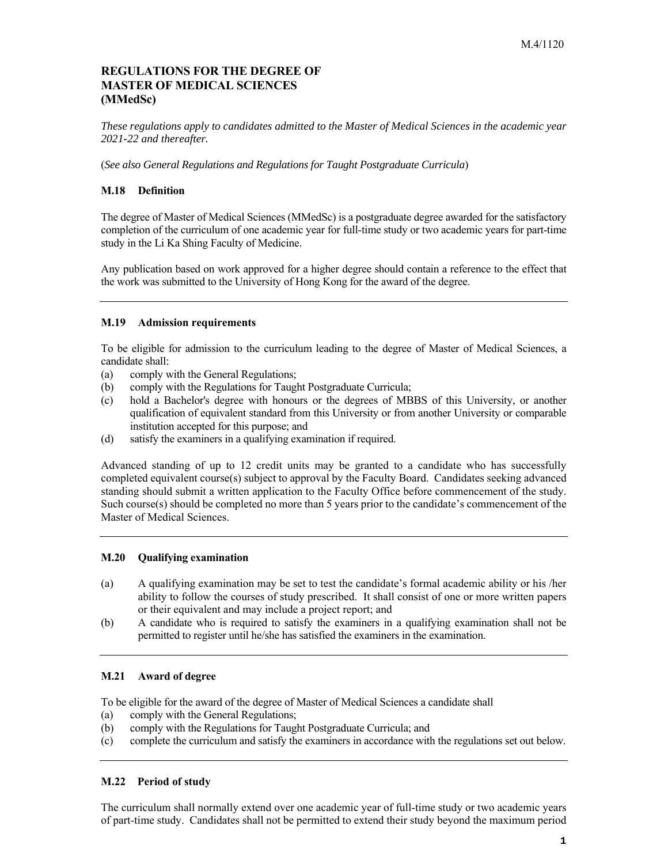# **MASTER OF MEDICAL SCIENCES REGULATIONS FOR THE DEGREE OF (MMedSc)**

*These regulations apply to candidates admitted to the Master of Medical Sciences in the academic year 2021-22 and thereafter.* 

(*See also General Regulations and Regulations for Taught Postgraduate Curricula*)

# **M.18 Definition**

 The degree of Master of Medical Sciences (MMedSc) is a postgraduate degree awarded for the satisfactory completion of the curriculum of one academic year for full-time study or two academic years for part-time study in the Li Ka Shing Faculty of Medicine.

 Any publication based on work approved for a higher degree should contain a reference to the effect that the work was submitted to the University of Hong Kong for the award of the degree.

#### **M.19 Admission requirements**

 To be eligible for admission to the curriculum leading to the degree of Master of Medical Sciences, a candidate shall:

- (a) comply with the General Regulations;
- (b) comply with the Regulations for Taught Postgraduate Curricula;
- (c) hold a Bachelor's degree with honours or the degrees of MBBS of this University, or another qualification of equivalent standard from this University or from another University or comparable institution accepted for this purpose; and
- (d) satisfy the examiners in a qualifying examination if required.

 Advanced standing of up to 12 credit units may be granted to a candidate who has successfully completed equivalent course(s) subject to approval by the Faculty Board. Candidates seeking advanced standing should submit a written application to the Faculty Office before commencement of the study. Such course(s) should be completed no more than 5 years prior to the candidate's commencement of the Master of Medical Sciences.

#### **M.20 Qualifying examination**

- (a) A qualifying examination may be set to test the candidate's formal academic ability or his /her ability to follow the courses of study prescribed. It shall consist of one or more written papers or their equivalent and may include a project report; and
- (b) A candidate who is required to satisfy the examiners in a qualifying examination shall not be permitted to register until he/she has satisfied the examiners in the examination.

#### **M.21 Award of degree**

To be eligible for the award of the degree of Master of Medical Sciences a candidate shall

- (a) comply with the General Regulations;
- (b) comply with the Regulations for Taught Postgraduate Curricula; and
- (c) complete the curriculum and satisfy the examiners in accordance with the regulations set out below.

#### **M.22 Period of study**

 The curriculum shall normally extend over one academic year of full-time study or two academic years of part-time study. Candidates shall not be permitted to extend their study beyond the maximum period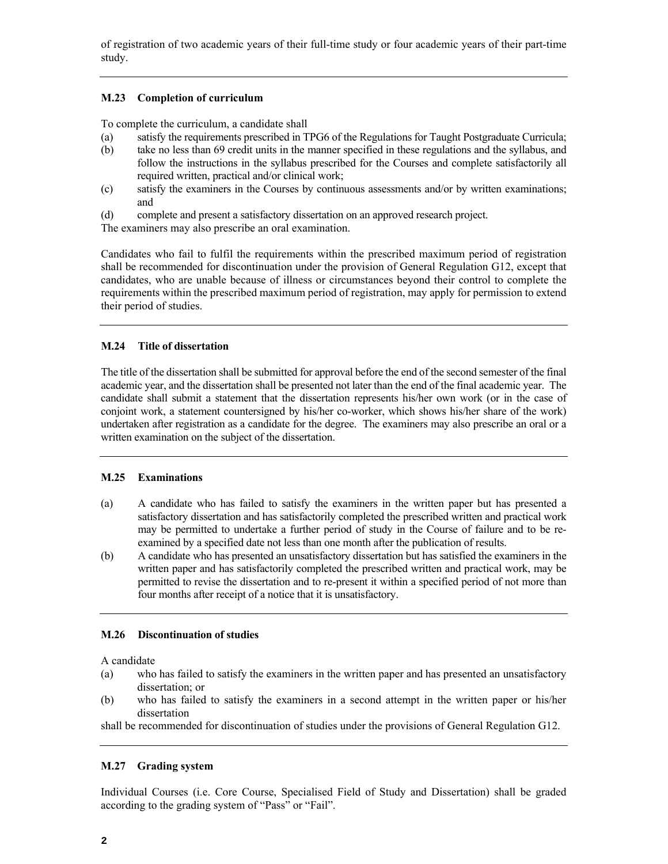of registration of two academic years of their full-time study or four academic years of their part-time study.

# **M.23 Completion of curriculum**

To complete the curriculum, a candidate shall

- (a) satisfy the requirements prescribed in TPG6 of the Regulations for Taught Postgraduate Curricula;
- (b) take no less than 69 credit units in the manner specified in these regulations and the syllabus, and follow the instructions in the syllabus prescribed for the Courses and complete satisfactorily all required written, practical and/or clinical work;
- (c) satisfy the examiners in the Courses by continuous assessments and/or by written examinations; and
- (d) complete and present a satisfactory dissertation on an approved research project.

The examiners may also prescribe an oral examination.

 Candidates who fail to fulfil the requirements within the prescribed maximum period of registration shall be recommended for discontinuation under the provision of General Regulation G12, except that candidates, who are unable because of illness or circumstances beyond their control to complete the requirements within the prescribed maximum period of registration, may apply for permission to extend their period of studies.

# **M.24 Title of dissertation**

 The title of the dissertation shall be submitted for approval before the end of the second semester of the final academic year, and the dissertation shall be presented not later than the end of the final academic year. The candidate shall submit a statement that the dissertation represents his/her own work (or in the case of conjoint work, a statement countersigned by his/her co-worker, which shows his/her share of the work) undertaken after registration as a candidate for the degree. The examiners may also prescribe an oral or a written examination on the subject of the dissertation.

#### **M.25 Examinations**

- (a) A candidate who has failed to satisfy the examiners in the written paper but has presented a satisfactory dissertation and has satisfactorily completed the prescribed written and practical work may be permitted to undertake a further period of study in the Course of failure and to be re-examined by a specified date not less than one month after the publication of results.
- written paper and has satisfactorily completed the prescribed written and practical work, may be permitted to revise the dissertation and to re-present it within a specified period of not more than four months after receipt of a notice that it is unsatisfactory. (b) A candidate who has presented an unsatisfactory dissertation but has satisfied the examiners in the

#### **M.26 Discontinuation of studies**

A candidate

- (a) who has failed to satisfy the examiners in the written paper and has presented an unsatisfactory dissertation; or
- (b) who has failed to satisfy the examiners in a second attempt in the written paper or his/her dissertation

shall be recommended for discontinuation of studies under the provisions of General Regulation G12.

# **M.27 Grading system**

 according to the grading system of "Pass" or "Fail". Individual Courses (i.e. Core Course, Specialised Field of Study and Dissertation) shall be graded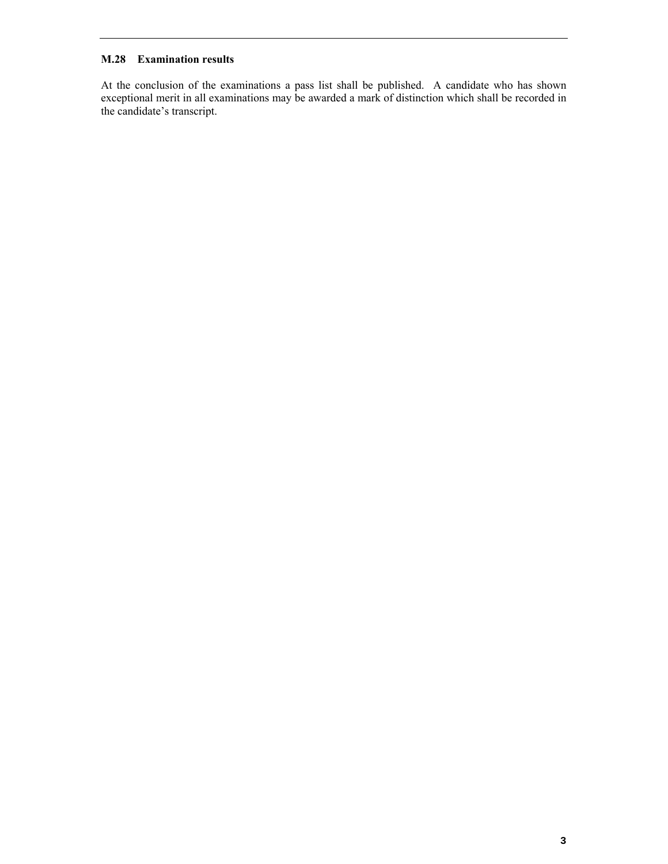# **M.28 Examination results**

At the conclusion of the examinations a pass list shall be published. A candidate who has shown exceptional merit in all examinations may be awarded a mark of distinction which shall be recorded in the candidate's transcript.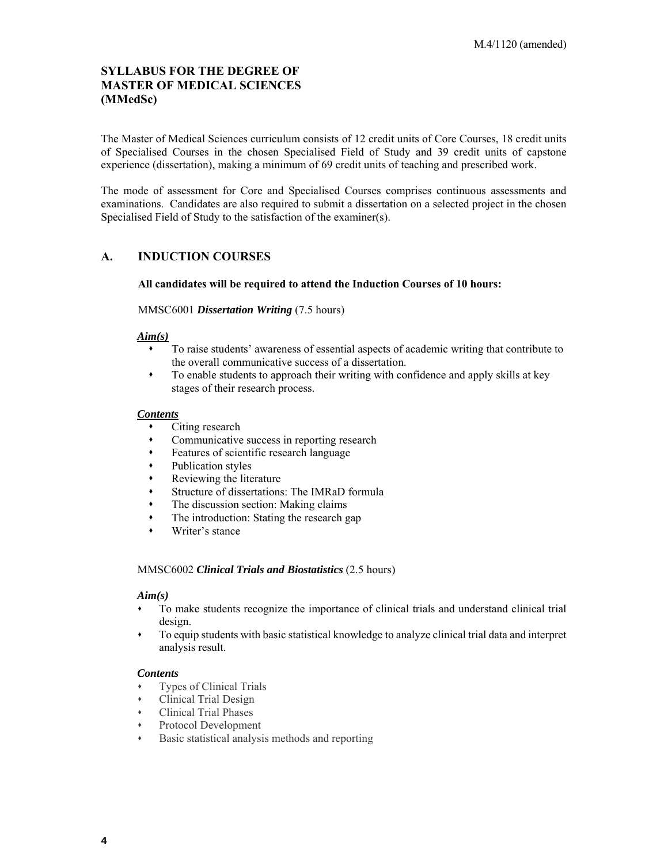# **SYLLABUS FOR THE DEGREE OF MASTER OF MEDICAL SCIENCES (MMedSc)**

 The Master of Medical Sciences curriculum consists of 12 credit units of Core Courses, 18 credit units of Specialised Courses in the chosen Specialised Field of Study and 39 credit units of capstone experience (dissertation), making a minimum of 69 credit units of teaching and prescribed work.

 The mode of assessment for Core and Specialised Courses comprises continuous assessments and examinations. Candidates are also required to submit a dissertation on a selected project in the chosen Specialised Field of Study to the satisfaction of the examiner(s).

# **A. INDUCTION COURSES**

#### **All candidates will be required to attend the Induction Courses of 10 hours:**

#### MMSC6001 *Dissertation Writing* (7.5 hours)

#### *Aim(s)*

- To raise students' awareness of essential aspects of academic writing that contribute to the overall communicative success of a dissertation.
- To enable students to approach their writing with confidence and apply skills at key stages of their research process.

#### *Contents*

- Citing research
- Communicative success in reporting research
- Features of scientific research language
- Publication styles
- Reviewing the literature
- Structure of dissertations: The IMRaD formula
- The discussion section: Making claims
- The introduction: Stating the research gap
- Writer's stance

#### MMSC6002 *Clinical Trials and Biostatistics* (2.5 hours)

#### *Aim(s)*

- To make students recognize the importance of clinical trials and understand clinical trial design.
- To equip students with basic statistical knowledge to analyze clinical trial data and interpret analysis result.

- Types of Clinical Trials
- Clinical Trial Design
- Clinical Trial Phases
- Protocol Development
- Basic statistical analysis methods and reporting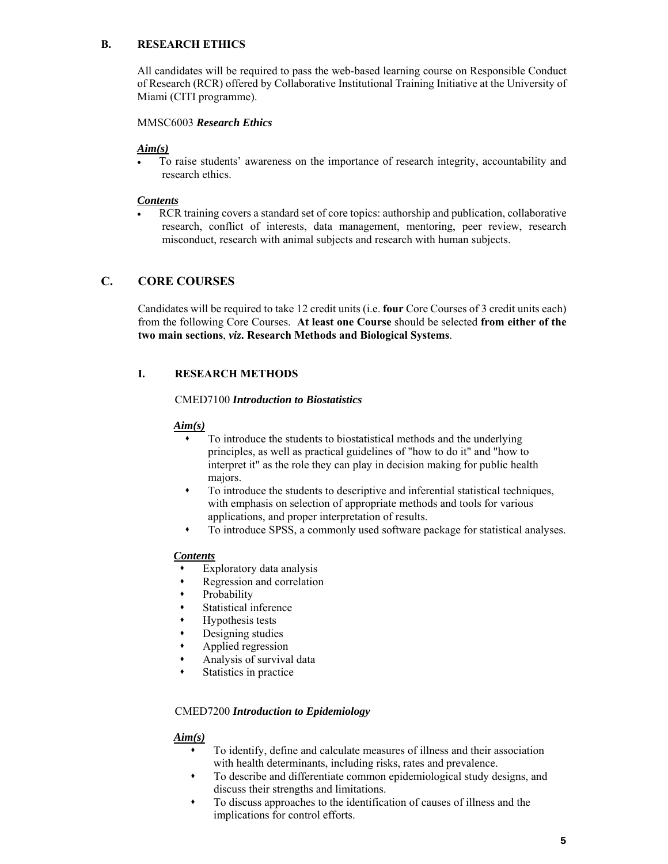### **B. RESEARCH ETHICS**

 of Research (RCR) offered by Collaborative Institutional Training Initiative at the University of Miami (CITI programme). All candidates will be required to pass the web-based learning course on Responsible Conduct

# MMSC6003 *Research Ethics*

# *Aim(s)*

 To raise students' awareness on the importance of research integrity, accountability and research ethics.

# *Contents*

 RCR training covers a standard set of core topics: authorship and publication, collaborative research, conflict of interests, data management, mentoring, peer review, research misconduct, research with animal subjects and research with human subjects.

# **C. CORE COURSES**

 Candidates will be required to take 12 credit units (i.e. **four** Core Courses of 3 credit units each) from the following Core Courses. **At least one Course** should be selected **from either of the two main sections**, *viz***. Research Methods and Biological Systems**.

# **I. RESEARCH METHODS**

#### CMED7100 *Introduction to Biostatistics*

# *Aim(s)*

- interpret it" as the role they can play in decision making for public health To introduce the students to biostatistical methods and the underlying principles, as well as practical guidelines of "how to do it" and "how to majors.
- with emphasis on selection of appropriate methods and tools for various To introduce the students to descriptive and inferential statistical techniques, applications, and proper interpretation of results.
- To introduce SPSS, a commonly used software package for statistical analyses.

# *Contents*

- Exploratory data analysis
- Regression and correlation
- Probability
- Statistical inference
- Hypothesis tests
- Designing studies
- Applied regression
- Analysis of survival data
- Statistics in practice

# CMED7200 *Introduction to Epidemiology Aim(s)*

- To identify, define and calculate measures of illness and their association with health determinants, including risks, rates and prevalence.
- To describe and differentiate common epidemiological study designs, and discuss their strengths and limitations.
- To discuss approaches to the identification of causes of illness and the implications for control efforts.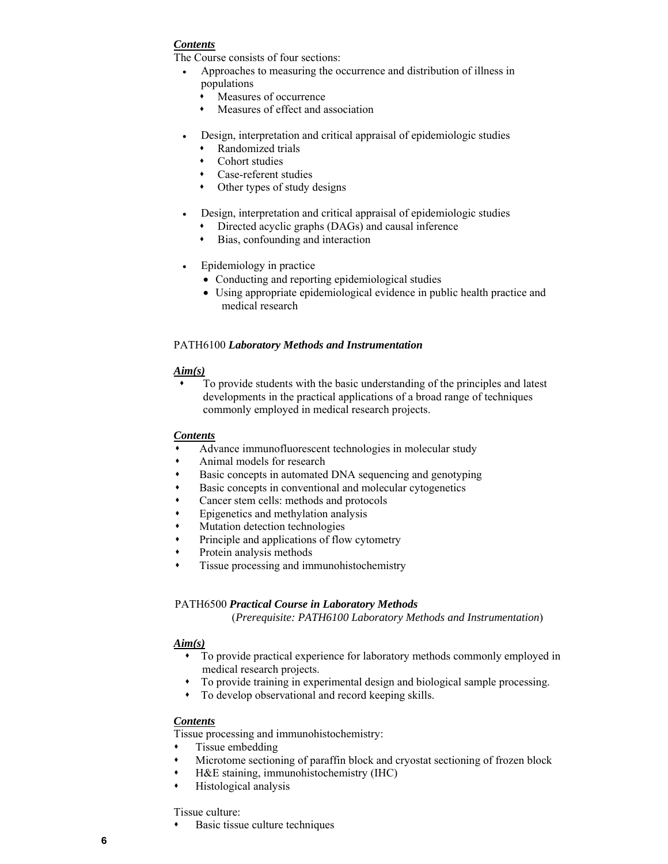The Course consists of four sections:

- Approaches to measuring the occurrence and distribution of illness in populations
	- Measures of occurrence
	- Measures of effect and association
- Design, interpretation and critical appraisal of epidemiologic studies
	- Randomized trials
	- Cohort studies
	- Case-referent studies
	- Other types of study designs
- Design, interpretation and critical appraisal of epidemiologic studies
- Directed acyclic graphs (DAGs) and causal inference
	- Bias, confounding and interaction
- Epidemiology in practice
	- Conducting and reporting epidemiological studies
	- medical research Using appropriate epidemiological evidence in public health practice and

# PATH6100 *Laboratory Methods and Instrumentation*

#### *Aim(s)*

 To provide students with the basic understanding of the principles and latest developments in the practical applications of a broad range of techniques commonly employed in medical research projects.

#### *Contents*

- Advance immunofluorescent technologies in molecular study
- Animal models for research
- Basic concepts in automated DNA sequencing and genotyping
- Basic concepts in conventional and molecular cytogenetics
- Cancer stem cells: methods and protocols
- Epigenetics and methylation analysis
- Mutation detection technologies
- Principle and applications of flow cytometry
- Protein analysis methods
- Tissue processing and immunohistochemistry

#### PATH6500 *Practical Course in Laboratory Methods*

(*Prerequisite: PATH6100 Laboratory Methods and Instrumentation*)

#### *Aim(s)*

- To provide practical experience for laboratory methods commonly employed in medical research projects.
- To provide training in experimental design and biological sample processing.
- To develop observational and record keeping skills.

# *Contents*

Tissue processing and immunohistochemistry:

- Tissue embedding
- Microtome sectioning of paraffin block and cryostat sectioning of frozen block
- H&E staining, immunohistochemistry (IHC)
- Histological analysis

#### Tissue culture:

Basic tissue culture techniques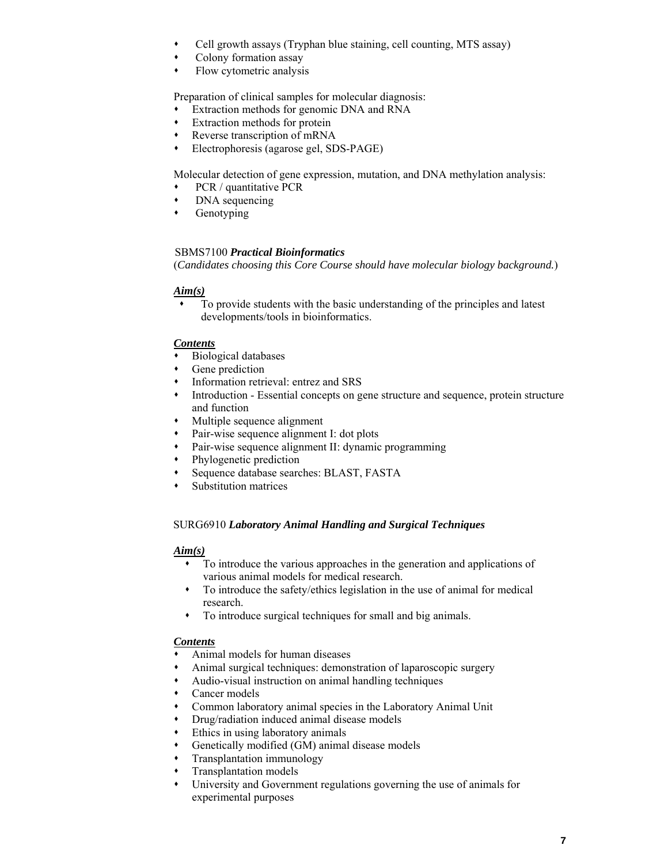- Cell growth assays (Tryphan blue staining, cell counting, MTS assay)
- Colony formation assay
- Flow cytometric analysis

Preparation of clinical samples for molecular diagnosis:

- Extraction methods for genomic DNA and RNA
- Extraction methods for protein
- Reverse transcription of mRNA
- Electrophoresis (agarose gel, SDS-PAGE)

Molecular detection of gene expression, mutation, and DNA methylation analysis:

- PCR / quantitative PCR
- DNA sequencing
- **•** Genotyping

# SBMS7100 *Practical Bioinformatics*

(*Candidates choosing this Core Course should have molecular biology background.*)

#### *Aim(s)*

 To provide students with the basic understanding of the principles and latest developments/tools in bioinformatics.

# *Contents*

- Biological databases
- Gene prediction
- Information retrieval: entrez and SRS
- Introduction Essential concepts on gene structure and sequence, protein structure and function
- Multiple sequence alignment
- Pair-wise sequence alignment I: dot plots
- Pair-wise sequence alignment II: dynamic programming
- Phylogenetic prediction
- Sequence database searches: BLAST, FASTA
- Substitution matrices

#### SURG6910 *Laboratory Animal Handling and Surgical Techniques*

#### *Aim(s)*

- To introduce the various approaches in the generation and applications of various animal models for medical research.
- To introduce the safety/ethics legislation in the use of animal for medical research.
- To introduce surgical techniques for small and big animals.

- Animal models for human diseases
- Animal surgical techniques: demonstration of laparoscopic surgery
- Audio-visual instruction on animal handling techniques
- Cancer models
- Common laboratory animal species in the Laboratory Animal Unit
- Drug/radiation induced animal disease models
- Ethics in using laboratory animals
- Genetically modified (GM) animal disease models
- Transplantation immunology
- Transplantation models
- University and Government regulations governing the use of animals for experimental purposes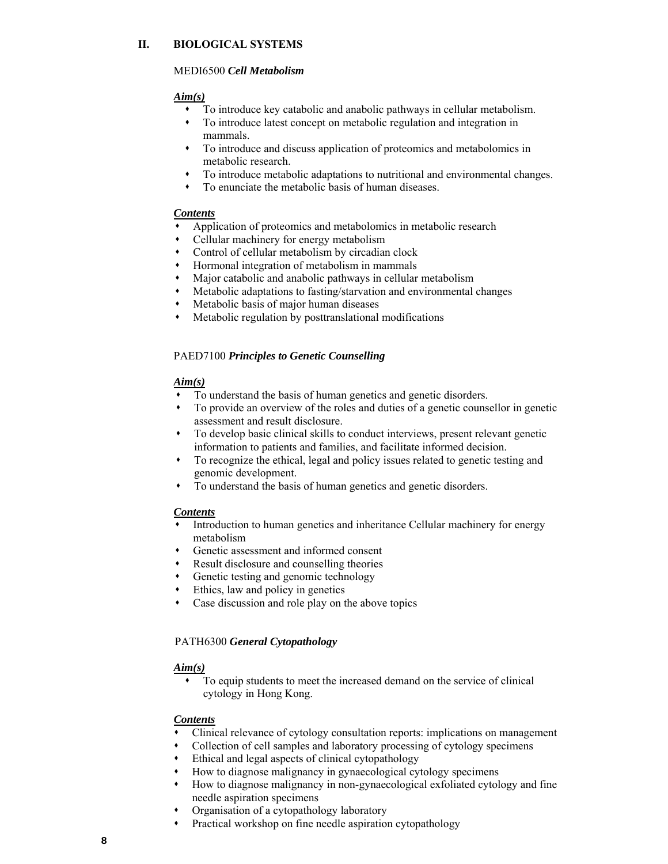# **II. BIOLOGICAL SYSTEMS**

#### MEDI6500 *Cell Metabolism*

# *Aim(s)*

- To introduce key catabolic and anabolic pathways in cellular metabolism.
- To introduce latest concept on metabolic regulation and integration in mammals.
- To introduce and discuss application of proteomics and metabolomics in metabolic research.
- To introduce metabolic adaptations to nutritional and environmental changes.
- To enunciate the metabolic basis of human diseases.

# *Contents*

- Application of proteomics and metabolomics in metabolic research
- Cellular machinery for energy metabolism
- Control of cellular metabolism by circadian clock
- Hormonal integration of metabolism in mammals
- Major catabolic and anabolic pathways in cellular metabolism
- Metabolic adaptations to fasting/starvation and environmental changes
- Metabolic basis of major human diseases
- Metabolic regulation by posttranslational modifications

# PAED7100 *Principles to Genetic Counselling*

# *Aim(s)*

- To understand the basis of human genetics and genetic disorders.
- To provide an overview of the roles and duties of a genetic counsellor in genetic assessment and result disclosure.
- To develop basic clinical skills to conduct interviews, present relevant genetic information to patients and families, and facilitate informed decision.
- To recognize the ethical, legal and policy issues related to genetic testing and genomic development.
- To understand the basis of human genetics and genetic disorders.

# *Contents*

- Introduction to human genetics and inheritance Cellular machinery for energy metabolism
- Genetic assessment and informed consent
- Result disclosure and counselling theories
- Genetic testing and genomic technology
- Ethics, law and policy in genetics
- Case discussion and role play on the above topics

# PATH6300 *General Cytopathology*

# *Aim(s)*

 To equip students to meet the increased demand on the service of clinical cytology in Hong Kong.

- Clinical relevance of cytology consultation reports: implications on management
- Collection of cell samples and laboratory processing of cytology specimens
- Ethical and legal aspects of clinical cytopathology
- How to diagnose malignancy in gynaecological cytology specimens
- How to diagnose malignancy in non-gynaecological exfoliated cytology and fine needle aspiration specimens
- Organisation of a cytopathology laboratory
- Practical workshop on fine needle aspiration cytopathology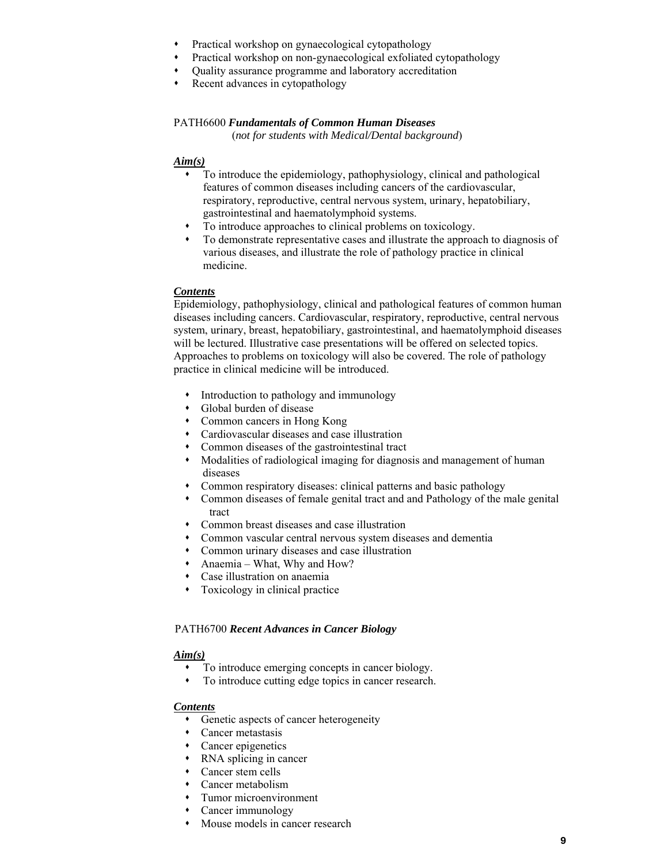- Practical workshop on gynaecological cytopathology
- Practical workshop on non-gynaecological exfoliated cytopathology
- Quality assurance programme and laboratory accreditation
- Recent advances in cytopathology

# PATH6600 *Fundamentals of Common Human Diseases*

(*not for students with Medical/Dental background*)

#### *Aim(s)*

- respiratory, reproductive, central nervous system, urinary, hepatobiliary, To introduce the epidemiology, pathophysiology, clinical and pathological features of common diseases including cancers of the cardiovascular, gastrointestinal and haematolymphoid systems.
- To introduce approaches to clinical problems on toxicology.
- To demonstrate representative cases and illustrate the approach to diagnosis of various diseases, and illustrate the role of pathology practice in clinical medicine.

# *Contents*

 Epidemiology, pathophysiology, clinical and pathological features of common human diseases including cancers. Cardiovascular, respiratory, reproductive, central nervous system, urinary, breast, hepatobiliary, gastrointestinal, and haematolymphoid diseases will be lectured. Illustrative case presentations will be offered on selected topics. Approaches to problems on toxicology will also be covered. The role of pathology practice in clinical medicine will be introduced.

- Introduction to pathology and immunology
- Global burden of disease
- Common cancers in Hong Kong
- Cardiovascular diseases and case illustration
- Common diseases of the gastrointestinal tract
- Modalities of radiological imaging for diagnosis and management of human diseases
- Common respiratory diseases: clinical patterns and basic pathology
- Common diseases of female genital tract and and Pathology of the male genital tract
- Common breast diseases and case illustration
- Common vascular central nervous system diseases and dementia
- Common urinary diseases and case illustration
- Anaemia What, Why and How?
- Case illustration on anaemia
- Toxicology in clinical practice

#### PATH6700 *Recent Advances in Cancer Biology*

#### *Aim(s)*

- To introduce emerging concepts in cancer biology.
- To introduce cutting edge topics in cancer research.

- Genetic aspects of cancer heterogeneity
- Cancer metastasis
- Cancer epigenetics
- RNA splicing in cancer
- Cancer stem cells
- Cancer metabolism
- Tumor microenvironment
- Cancer immunology
- Mouse models in cancer research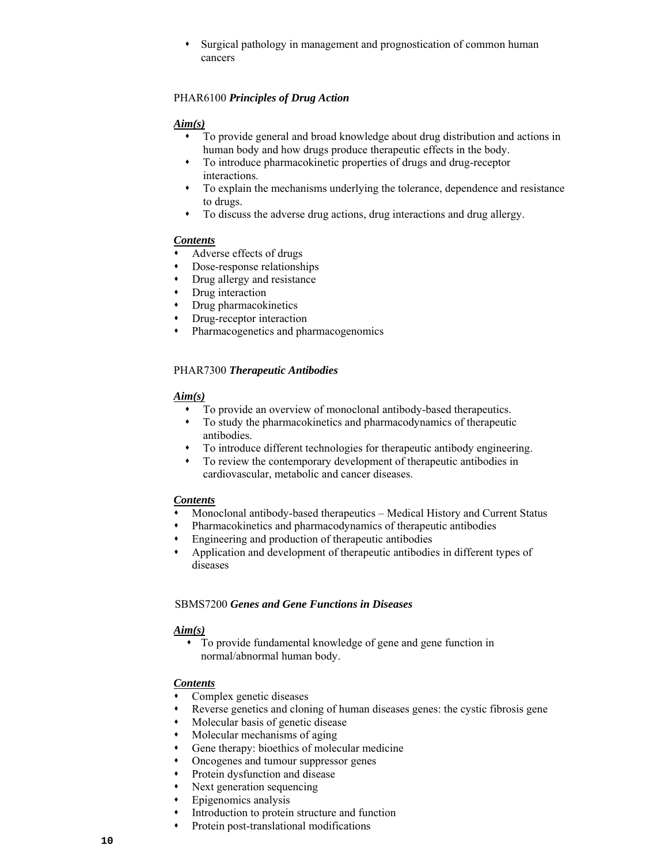Surgical pathology in management and prognostication of common human cancers

# PHAR6100 *Principles of Drug Action*

# *Aim(s)*

- To provide general and broad knowledge about drug distribution and actions in human body and how drugs produce therapeutic effects in the body.
- To introduce pharmacokinetic properties of drugs and drug-receptor interactions.
- To explain the mechanisms underlying the tolerance, dependence and resistance to drugs.
- To discuss the adverse drug actions, drug interactions and drug allergy.

# *Contents*

- Adverse effects of drugs
- Dose-response relationships
- Drug allergy and resistance
- Drug interaction
- Drug pharmacokinetics
- Drug-receptor interaction
- Pharmacogenetics and pharmacogenomics

# PHAR7300 *Therapeutic Antibodies*

# *Aim(s)*

- To provide an overview of monoclonal antibody-based therapeutics.
- To study the pharmacokinetics and pharmacodynamics of therapeutic antibodies.
- To introduce different technologies for therapeutic antibody engineering.
- To review the contemporary development of therapeutic antibodies in cardiovascular, metabolic and cancer diseases.

#### *Contents*

- Monoclonal antibody-based therapeutics Medical History and Current Status
- Pharmacokinetics and pharmacodynamics of therapeutic antibodies
- Engineering and production of therapeutic antibodies
- Application and development of therapeutic antibodies in different types of diseases

### SBMS7200 *Genes and Gene Functions in Diseases*

# *Aim(s)*

 To provide fundamental knowledge of gene and gene function in normal/abnormal human body.

- Complex genetic diseases
- Reverse genetics and cloning of human diseases genes: the cystic fibrosis gene
- Molecular basis of genetic disease
- Molecular mechanisms of aging
- Gene therapy: bioethics of molecular medicine
- Oncogenes and tumour suppressor genes
- Protein dysfunction and disease
- Next generation sequencing
- Epigenomics analysis
- Introduction to protein structure and function
- Protein post-translational modifications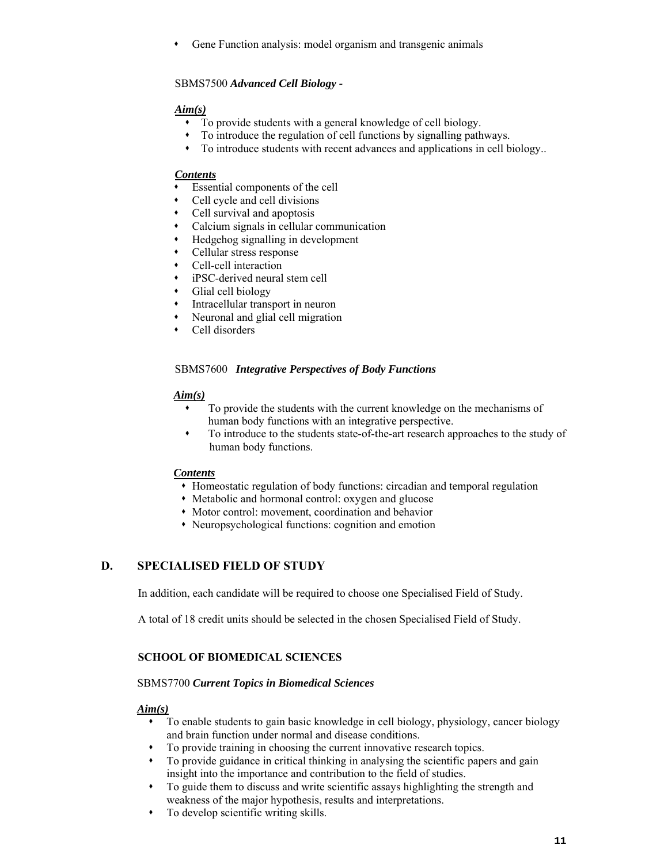Gene Function analysis: model organism and transgenic animals

# SBMS7500 *Advanced Cell Biology -*

# *Aim(s)*

- To provide students with a general knowledge of cell biology.
- To introduce the regulation of cell functions by signalling pathways.
- To introduce students with recent advances and applications in cell biology..

# *Contents*

- Essential components of the cell
- Cell cycle and cell divisions
- Cell survival and apoptosis
- Calcium signals in cellular communication
- Hedgehog signalling in development
- Cellular stress response
- Cell-cell interaction
- iPSC-derived neural stem cell
- Glial cell biology
- Intracellular transport in neuron
- Neuronal and glial cell migration
- Cell disorders

# SBMS7600 *Integrative Perspectives of Body Functions*

# *Aim(s)*

- To provide the students with the current knowledge on the mechanisms of human body functions with an integrative perspective.
- To introduce to the students state-of-the-art research approaches to the study of human body functions.

#### *Contents*

- Homeostatic regulation of body functions: circadian and temporal regulation
- Metabolic and hormonal control: oxygen and glucose
- Motor control: movement, coordination and behavior
- Neuropsychological functions: cognition and emotion

# **D. SPECIALISED FIELD OF STUDY**

In addition, each candidate will be required to choose one Specialised Field of Study.

A total of 18 credit units should be selected in the chosen Specialised Field of Study.

# **SCHOOL OF BIOMEDICAL SCIENCES**

#### SBMS7700 *Current Topics in Biomedical Sciences*

# *Aim(s)*

- and brain function under normal and disease conditions. To enable students to gain basic knowledge in cell biology, physiology, cancer biology
- To provide training in choosing the current innovative research topics.
- insight into the importance and contribution to the field of studies. To provide guidance in critical thinking in analysing the scientific papers and gain
- To guide them to discuss and write scientific assays highlighting the strength and weakness of the major hypothesis, results and interpretations.
- To develop scientific writing skills.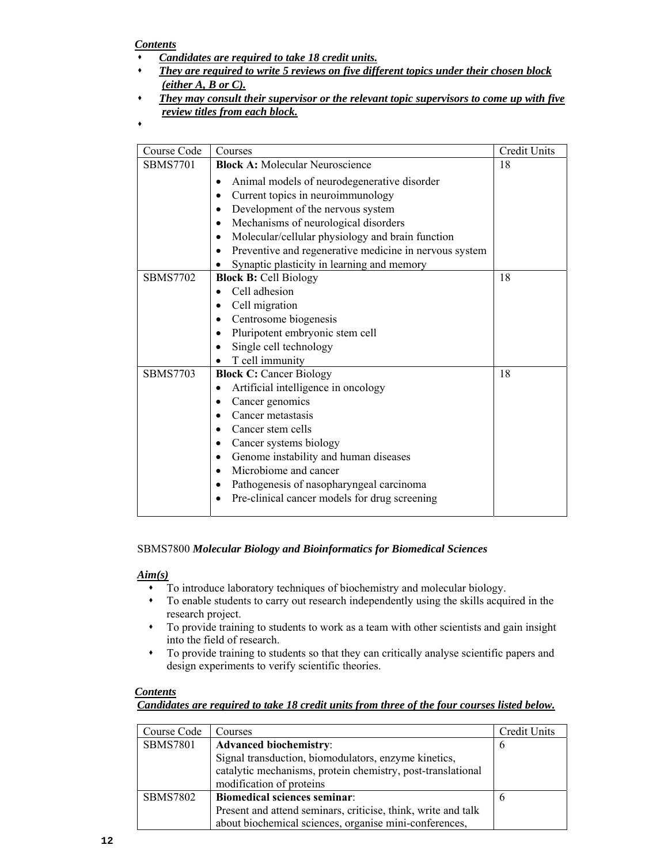- *Candidates are required to take 18 credit units.*
- *They are required to write 5 reviews on five different topics under their chosen block (either A, B or C).*
- *They may consult their supervisor or the relevant topic supervisors to come up with five review titles from each block.*

 $\bullet$ 

# SBMS7800 *Molecular Biology and Bioinformatics for Biomedical Sciences*

#### *Aim(s)*

- To introduce laboratory techniques of biochemistry and molecular biology.
- To enable students to carry out research independently using the skills acquired in the research project.
- into the field of research. To provide training to students to work as a team with other scientists and gain insight
- To provide training to students so that they can critically analyse scientific papers and design experiments to verify scientific theories.

# *Contents*

*Candidates are required to take 18 credit units from three of the four courses listed below.* 

| Course Code     | <b>Courses</b>                                                | Credit Units |
|-----------------|---------------------------------------------------------------|--------------|
| <b>SBMS7801</b> | <b>Advanced biochemistry:</b>                                 | 6            |
|                 | Signal transduction, biomodulators, enzyme kinetics,          |              |
|                 | catalytic mechanisms, protein chemistry, post-translational   |              |
|                 | modification of proteins                                      |              |
| <b>SBMS7802</b> | <b>Biomedical sciences seminar:</b>                           |              |
|                 | Present and attend seminars, criticise, think, write and talk |              |
|                 | about biochemical sciences, organise mini-conferences,        |              |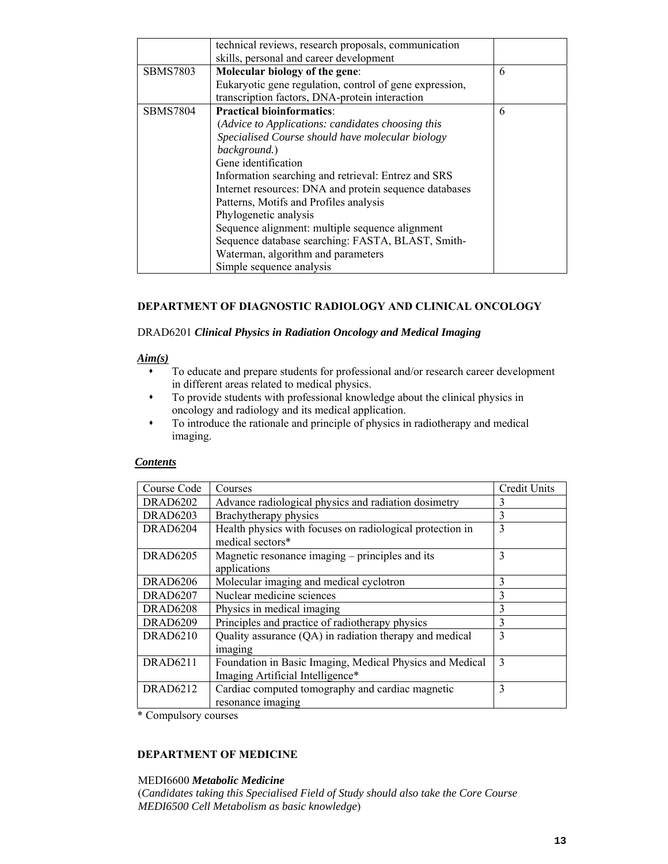|                 | technical reviews, research proposals, communication    |   |
|-----------------|---------------------------------------------------------|---|
|                 | skills, personal and career development                 |   |
| <b>SBMS7803</b> | Molecular biology of the gene:                          | 6 |
|                 | Eukaryotic gene regulation, control of gene expression, |   |
|                 | transcription factors, DNA-protein interaction          |   |
| <b>SBMS7804</b> | <b>Practical bioinformatics:</b>                        | 6 |
|                 | (Advice to Applications: candidates choosing this       |   |
|                 | Specialised Course should have molecular biology        |   |
|                 | background.)                                            |   |
|                 | Gene identification                                     |   |
|                 | Information searching and retrieval: Entrez and SRS     |   |
|                 | Internet resources: DNA and protein sequence databases  |   |
|                 | Patterns, Motifs and Profiles analysis                  |   |
|                 | Phylogenetic analysis                                   |   |
|                 | Sequence alignment: multiple sequence alignment         |   |
|                 | Sequence database searching: FASTA, BLAST, Smith-       |   |
|                 | Waterman, algorithm and parameters                      |   |
|                 | Simple sequence analysis                                |   |

# **DEPARTMENT OF DIAGNOSTIC RADIOLOGY AND CLINICAL ONCOLOGY**

#### DRAD6201 *Clinical Physics in Radiation Oncology and Medical Imaging*

#### *Aim(s)*

- in different areas related to medical physics. To educate and prepare students for professional and/or research career development
- To provide students with professional knowledge about the clinical physics in oncology and radiology and its medical application.
- To introduce the rationale and principle of physics in radiotherapy and medical imaging.

#### *Contents*

| Course Code     | Courses                                                                                      | Credit Units |
|-----------------|----------------------------------------------------------------------------------------------|--------------|
| <b>DRAD6202</b> | Advance radiological physics and radiation dosimetry                                         | 3            |
| <b>DRAD6203</b> | Brachytherapy physics                                                                        | 3            |
| DRAD6204        | Health physics with focuses on radiological protection in<br>medical sectors*                | 3            |
| <b>DRAD6205</b> | Magnetic resonance imaging – principles and its<br>applications                              | 3            |
| <b>DRAD6206</b> | Molecular imaging and medical cyclotron                                                      | 3            |
| <b>DRAD6207</b> | Nuclear medicine sciences                                                                    | 3            |
| <b>DRAD6208</b> | Physics in medical imaging                                                                   | 3            |
| <b>DRAD6209</b> | Principles and practice of radiotherapy physics                                              | 3            |
| <b>DRAD6210</b> | Quality assurance (QA) in radiation therapy and medical<br>imaging                           | $\mathbf{3}$ |
| <b>DRAD6211</b> | Foundation in Basic Imaging, Medical Physics and Medical<br>Imaging Artificial Intelligence* | $\mathbf{3}$ |
| DRAD6212        | Cardiac computed tomography and cardiac magnetic<br>resonance imaging                        | 3            |

\* Compulsory courses

#### **DEPARTMENT OF MEDICINE**

#### MEDI6600 *Metabolic Medicine*

 (*Candidates taking this Specialised Field of Study should also take the Core Course MEDI6500 Cell Metabolism as basic knowledge*)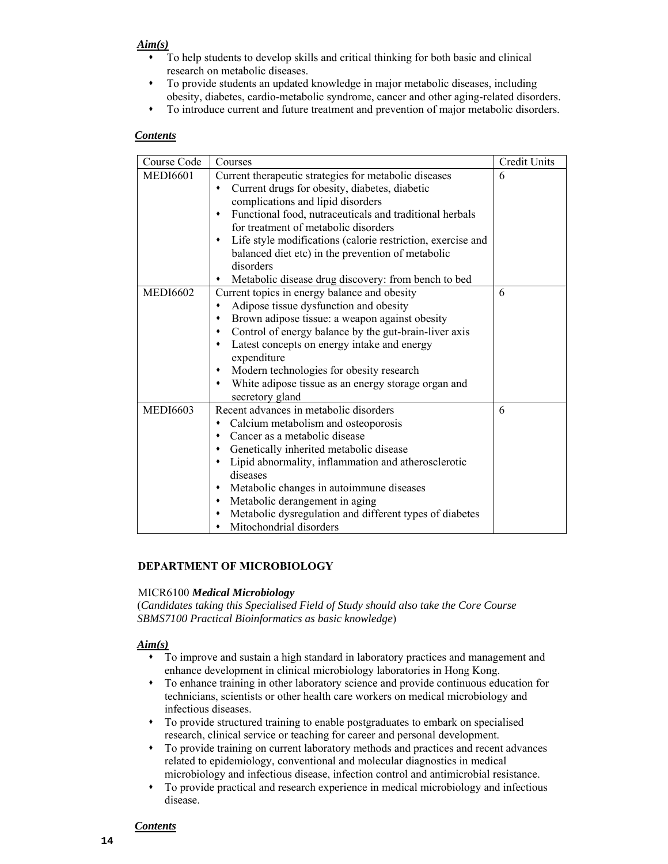### *Aim(s)*

- To help students to develop skills and critical thinking for both basic and clinical research on metabolic diseases.
- To provide students an updated knowledge in major metabolic diseases, including obesity, diabetes, cardio-metabolic syndrome, cancer and other aging-related disorders.
- To introduce current and future treatment and prevention of major metabolic disorders.

# *Contents*

| Course Code     | Courses                                                                                                                                                                                                                                                                                                                                                                                                                                               | Credit Units |
|-----------------|-------------------------------------------------------------------------------------------------------------------------------------------------------------------------------------------------------------------------------------------------------------------------------------------------------------------------------------------------------------------------------------------------------------------------------------------------------|--------------|
| <b>MEDI6601</b> | Current therapeutic strategies for metabolic diseases<br>Current drugs for obesity, diabetes, diabetic<br>complications and lipid disorders<br>Functional food, nutraceuticals and traditional herbals<br>٠<br>for treatment of metabolic disorders<br>Life style modifications (calorie restriction, exercise and<br>٠<br>balanced diet etc) in the prevention of metabolic<br>disorders<br>Metabolic disease drug discovery: from bench to bed<br>٠ | 6            |
| <b>MEDI6602</b> | Current topics in energy balance and obesity<br>Adipose tissue dysfunction and obesity<br>٠<br>Brown adipose tissue: a weapon against obesity<br>٠<br>Control of energy balance by the gut-brain-liver axis<br>٠<br>Latest concepts on energy intake and energy<br>٠<br>expenditure<br>Modern technologies for obesity research<br>٠<br>White adipose tissue as an energy storage organ and<br>٠<br>secretory gland                                   | 6            |
| <b>MEDI6603</b> | Recent advances in metabolic disorders<br>Calcium metabolism and osteoporosis<br>Cancer as a metabolic disease<br>٠<br>Genetically inherited metabolic disease<br>٠<br>Lipid abnormality, inflammation and atherosclerotic<br>٠<br>diseases<br>Metabolic changes in autoimmune diseases<br>٠<br>Metabolic derangement in aging<br>٠<br>Metabolic dysregulation and different types of diabetes<br>٠<br>Mitochondrial disorders<br>٠                   | 6            |

# **DEPARTMENT OF MICROBIOLOGY**

#### MICR6100 *Medical Microbiology*

 (*Candidates taking this Specialised Field of Study should also take the Core Course SBMS7100 Practical Bioinformatics as basic knowledge*)

#### *Aim(s)*

- To improve and sustain a high standard in laboratory practices and management and enhance development in clinical microbiology laboratories in Hong Kong.
- technicians, scientists or other health care workers on medical microbiology and To enhance training in other laboratory science and provide continuous education for infectious diseases.
- To provide structured training to enable postgraduates to embark on specialised research, clinical service or teaching for career and personal development.
- related to epidemiology, conventional and molecular diagnostics in medical To provide training on current laboratory methods and practices and recent advances microbiology and infectious disease, infection control and antimicrobial resistance.
- To provide practical and research experience in medical microbiology and infectious disease.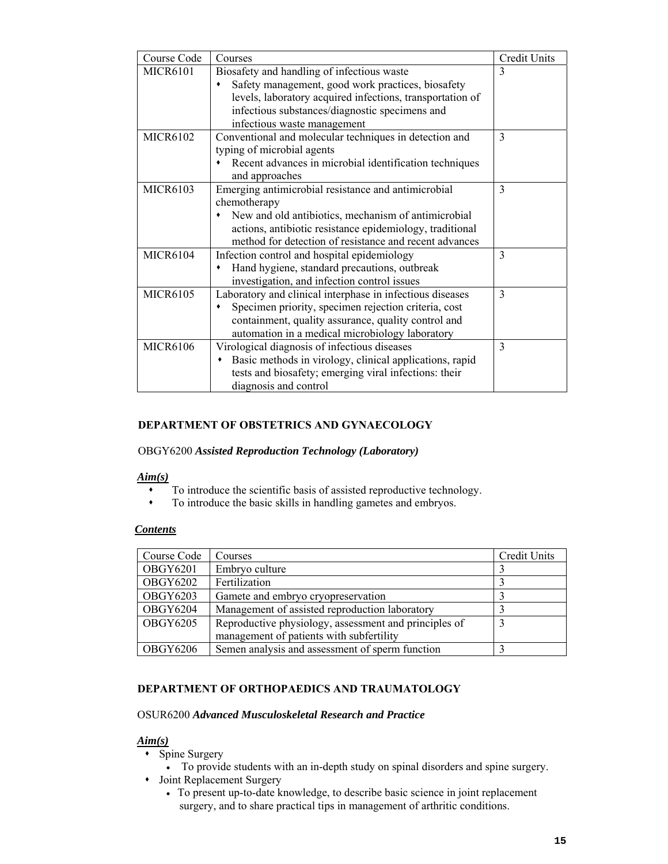| Course Code     | Courses                                                                                                                                                                                                                                          | <b>Credit Units</b> |
|-----------------|--------------------------------------------------------------------------------------------------------------------------------------------------------------------------------------------------------------------------------------------------|---------------------|
| <b>MICR6101</b> | Biosafety and handling of infectious waste<br>Safety management, good work practices, biosafety<br>levels, laboratory acquired infections, transportation of<br>infectious substances/diagnostic specimens and<br>infectious waste management    | 3                   |
| <b>MICR6102</b> | Conventional and molecular techniques in detection and<br>typing of microbial agents<br>Recent advances in microbial identification techniques<br>and approaches                                                                                 | 3                   |
| <b>MICR6103</b> | Emerging antimicrobial resistance and antimicrobial<br>chemotherapy<br>New and old antibiotics, mechanism of antimicrobial<br>actions, antibiotic resistance epidemiology, traditional<br>method for detection of resistance and recent advances | 3                   |
| <b>MICR6104</b> | Infection control and hospital epidemiology<br>Hand hygiene, standard precautions, outbreak<br>investigation, and infection control issues                                                                                                       | 3                   |
| <b>MICR6105</b> | Laboratory and clinical interphase in infectious diseases<br>Specimen priority, specimen rejection criteria, cost<br>containment, quality assurance, quality control and<br>automation in a medical microbiology laboratory                      | 3                   |
| <b>MICR6106</b> | Virological diagnosis of infectious diseases<br>Basic methods in virology, clinical applications, rapid<br>tests and biosafety; emerging viral infections: their<br>diagnosis and control                                                        | 3                   |

# **DEPARTMENT OF OBSTETRICS AND GYNAECOLOGY**

#### OBGY6200 *Assisted Reproduction Technology (Laboratory)*

#### *Aim(s)*

- To introduce the scientific basis of assisted reproductive technology.
- To introduce the basic skills in handling gametes and embryos.

# *Contents*

| Course Code     | Courses                                                                                           | Credit Units |
|-----------------|---------------------------------------------------------------------------------------------------|--------------|
| <b>OBGY6201</b> | Embryo culture                                                                                    |              |
| <b>OBGY6202</b> | Fertilization                                                                                     |              |
| <b>OBGY6203</b> | Gamete and embryo cryopreservation                                                                |              |
| <b>OBGY6204</b> | Management of assisted reproduction laboratory                                                    |              |
| OBGY6205        | Reproductive physiology, assessment and principles of<br>management of patients with subfertility |              |
|                 |                                                                                                   |              |
| <b>OBGY6206</b> | Semen analysis and assessment of sperm function                                                   |              |

# **DEPARTMENT OF ORTHOPAEDICS AND TRAUMATOLOGY**

# OSUR6200 *Advanced Musculoskeletal Research and Practice*

## *Aim(s)*

- Spine Surgery
	- To provide students with an in-depth study on spinal disorders and spine surgery.
- Joint Replacement Surgery
	- To present up-to-date knowledge, to describe basic science in joint replacement surgery, and to share practical tips in management of arthritic conditions.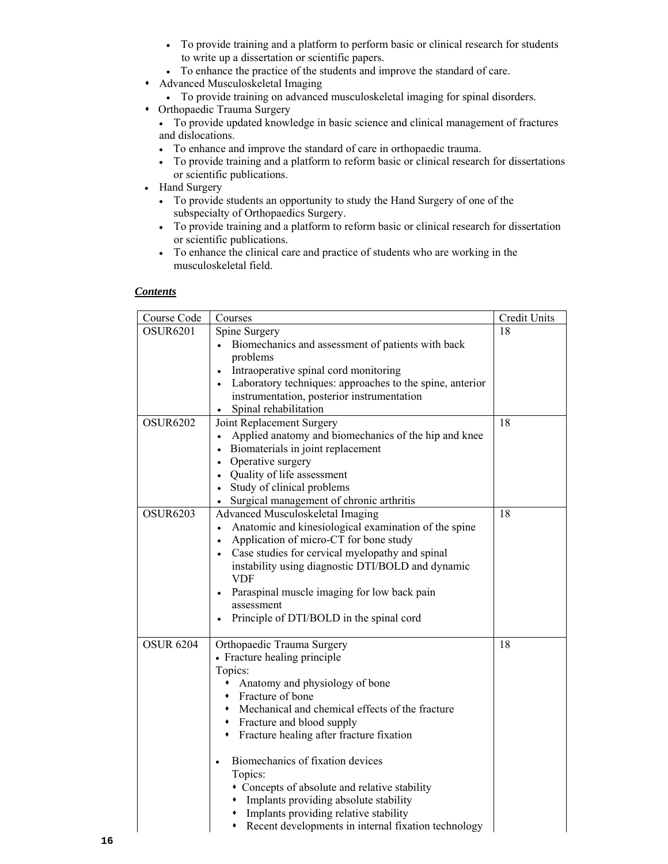- To provide training and a platform to perform basic or clinical research for students to write up a dissertation or scientific papers.
- To enhance the practice of the students and improve the standard of care.
- Advanced Musculoskeletal Imaging
	- To provide training on advanced musculoskeletal imaging for spinal disorders.
- Orthopaedic Trauma Surgery
	- To provide updated knowledge in basic science and clinical management of fractures and dislocations.
	- To enhance and improve the standard of care in orthopaedic trauma.
	- To provide training and a platform to reform basic or clinical research for dissertations or scientific publications.
- Hand Surgery
	- To provide students an opportunity to study the Hand Surgery of one of the subspecialty of Orthopaedics Surgery.
	- To provide training and a platform to reform basic or clinical research for dissertation or scientific publications.
	- To enhance the clinical care and practice of students who are working in the musculoskeletal field.

| Course Code      | Courses                                                               | Credit Units |
|------------------|-----------------------------------------------------------------------|--------------|
| <b>OSUR6201</b>  | Spine Surgery                                                         | 18           |
|                  | Biomechanics and assessment of patients with back                     |              |
|                  | problems                                                              |              |
|                  | Intraoperative spinal cord monitoring                                 |              |
|                  | Laboratory techniques: approaches to the spine, anterior<br>$\bullet$ |              |
|                  | instrumentation, posterior instrumentation                            |              |
|                  | Spinal rehabilitation                                                 |              |
| <b>OSUR6202</b>  | Joint Replacement Surgery                                             | 18           |
|                  | Applied anatomy and biomechanics of the hip and knee                  |              |
|                  | Biomaterials in joint replacement                                     |              |
|                  | Operative surgery<br>$\bullet$                                        |              |
|                  | • Quality of life assessment                                          |              |
|                  | Study of clinical problems                                            |              |
|                  | Surgical management of chronic arthritis<br>$\bullet$                 |              |
| <b>OSUR6203</b>  | Advanced Musculoskeletal Imaging                                      | 18           |
|                  | Anatomic and kinesiological examination of the spine                  |              |
|                  | Application of micro-CT for bone study                                |              |
|                  | Case studies for cervical myelopathy and spinal<br>$\bullet$          |              |
|                  | instability using diagnostic DTI/BOLD and dynamic                     |              |
|                  | VDF                                                                   |              |
|                  | Paraspinal muscle imaging for low back pain                           |              |
|                  | assessment                                                            |              |
|                  | Principle of DTI/BOLD in the spinal cord                              |              |
| <b>OSUR 6204</b> | Orthopaedic Trauma Surgery                                            | 18           |
|                  | • Fracture healing principle                                          |              |
|                  | Topics:                                                               |              |
|                  | Anatomy and physiology of bone<br>٠                                   |              |
|                  | Fracture of bone                                                      |              |
|                  | • Mechanical and chemical effects of the fracture                     |              |
|                  | • Fracture and blood supply                                           |              |
|                  | • Fracture healing after fracture fixation                            |              |
|                  |                                                                       |              |
|                  | Biomechanics of fixation devices<br>$\bullet$                         |              |
|                  | Topics:                                                               |              |
|                  | • Concepts of absolute and relative stability                         |              |
|                  | • Implants providing absolute stability                               |              |
|                  | • Implants providing relative stability                               |              |
|                  | Recent developments in internal fixation technology                   |              |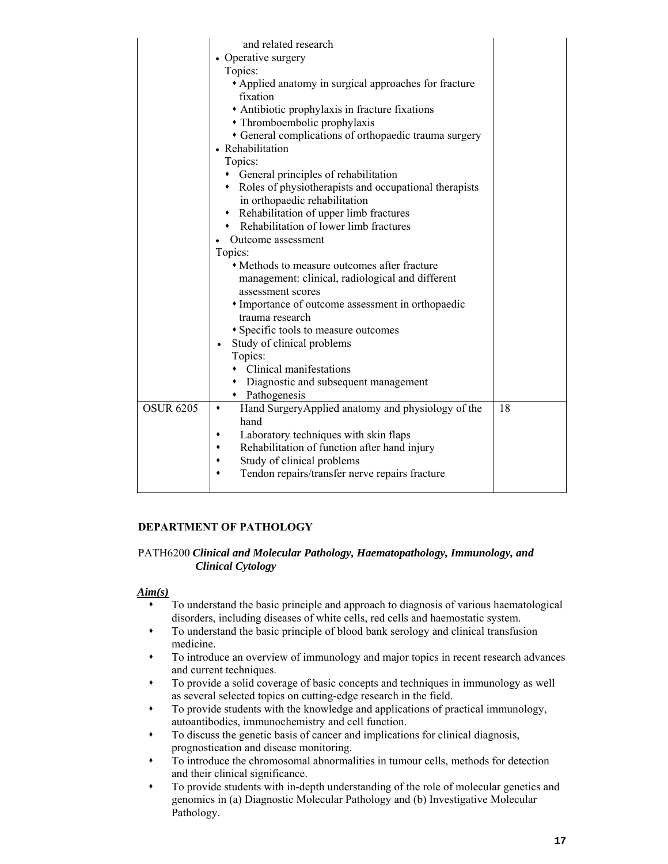|                  | and related research                                                                  |    |
|------------------|---------------------------------------------------------------------------------------|----|
|                  | • Operative surgery                                                                   |    |
|                  | Topics:<br>• Applied anatomy in surgical approaches for fracture                      |    |
|                  | fixation                                                                              |    |
|                  |                                                                                       |    |
|                  | • Antibiotic prophylaxis in fracture fixations                                        |    |
|                  | • Thromboembolic prophylaxis                                                          |    |
|                  | • General complications of orthopaedic trauma surgery                                 |    |
|                  | • Rehabilitation                                                                      |    |
|                  | Topics:                                                                               |    |
|                  | • General principles of rehabilitation                                                |    |
|                  | • Roles of physiotherapists and occupational therapists                               |    |
|                  | in orthopaedic rehabilitation                                                         |    |
|                  | Rehabilitation of upper limb fractures<br>$\bullet$                                   |    |
|                  | Rehabilitation of lower limb fractures                                                |    |
|                  | Outcome assessment                                                                    |    |
|                  | Topics:                                                                               |    |
|                  | • Methods to measure outcomes after fracture                                          |    |
|                  | management: clinical, radiological and different                                      |    |
|                  | assessment scores                                                                     |    |
|                  | • Importance of outcome assessment in orthopaedic                                     |    |
|                  | trauma research                                                                       |    |
|                  | • Specific tools to measure outcomes                                                  |    |
|                  | Study of clinical problems                                                            |    |
|                  | Topics:                                                                               |    |
|                  | • Clinical manifestations                                                             |    |
|                  | • Diagnostic and subsequent management                                                |    |
|                  | • Pathogenesis                                                                        |    |
| <b>OSUR 6205</b> | Hand SurgeryApplied anatomy and physiology of the<br>٠<br>hand                        | 18 |
|                  | ٠                                                                                     |    |
|                  | Laboratory techniques with skin flaps<br>Rehabilitation of function after hand injury |    |
|                  | Study of clinical problems<br>٠                                                       |    |
|                  | Tendon repairs/transfer nerve repairs fracture                                        |    |
|                  |                                                                                       |    |
|                  |                                                                                       |    |

# **DEPARTMENT OF PATHOLOGY**

#### PATH6200 *Clinical and Molecular Pathology, Haematopathology, Immunology, and Clinical Cytology*

### *Aim(s)*

- disorders, including diseases of white cells, red cells and haemostatic system. To understand the basic principle and approach to diagnosis of various haematological
- To understand the basic principle of blood bank serology and clinical transfusion medicine.
- To introduce an overview of immunology and major topics in recent research advances and current techniques.
- To provide a solid coverage of basic concepts and techniques in immunology as well as several selected topics on cutting-edge research in the field.
- autoantibodies, immunochemistry and cell function. To provide students with the knowledge and applications of practical immunology,
- To discuss the genetic basis of cancer and implications for clinical diagnosis, prognostication and disease monitoring.
- To introduce the chromosomal abnormalities in tumour cells, methods for detection and their clinical significance.
- genomics in (a) Diagnostic Molecular Pathology and (b) Investigative Molecular To provide students with in-depth understanding of the role of molecular genetics and Pathology.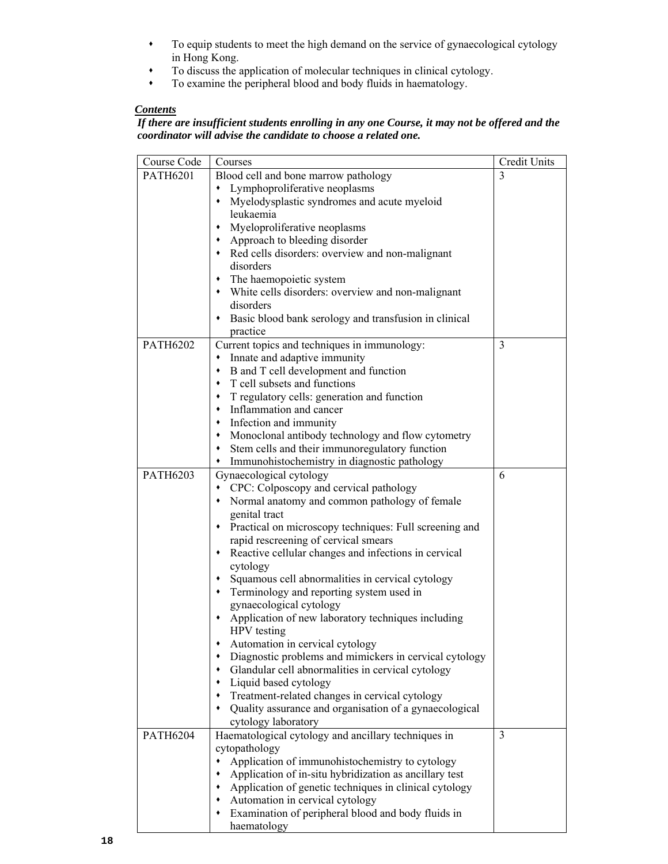- To equip students to meet the high demand on the service of gynaecological cytology in Hong Kong.
- To discuss the application of molecular techniques in clinical cytology.
- To examine the peripheral blood and body fluids in haematology.

# *If there are insufficient students enrolling in any one Course, it may not be offered and the coordinator will advise the candidate to choose a related one.*

| Course Code     | Courses                                                          | <b>Credit Units</b> |
|-----------------|------------------------------------------------------------------|---------------------|
| <b>PATH6201</b> | Blood cell and bone marrow pathology                             | 3                   |
|                 | • Lymphoproliferative neoplasms                                  |                     |
|                 | Myelodysplastic syndromes and acute myeloid                      |                     |
|                 | leukaemia                                                        |                     |
|                 | Myeloproliferative neoplasms<br>٠                                |                     |
|                 | • Approach to bleeding disorder                                  |                     |
|                 | • Red cells disorders: overview and non-malignant                |                     |
|                 | disorders                                                        |                     |
|                 | • The haemopoietic system                                        |                     |
|                 | • White cells disorders: overview and non-malignant              |                     |
|                 | disorders                                                        |                     |
|                 | • Basic blood bank serology and transfusion in clinical          |                     |
|                 | practice                                                         |                     |
| <b>PATH6202</b> | Current topics and techniques in immunology:                     | 3                   |
|                 | Innate and adaptive immunity<br>٠                                |                     |
|                 | B and T cell development and function<br>٠                       |                     |
|                 | T cell subsets and functions<br>$\blacklozenge$                  |                     |
|                 | T regulatory cells: generation and function<br>٠                 |                     |
|                 | Inflammation and cancer<br>٠                                     |                     |
|                 | Infection and immunity<br>$\blacklozenge$                        |                     |
|                 | Monoclonal antibody technology and flow cytometry<br>٠           |                     |
|                 | Stem cells and their immunoregulatory function                   |                     |
|                 | Immunohistochemistry in diagnostic pathology<br>٠                |                     |
| <b>PATH6203</b> | Gynaecological cytology                                          | 6                   |
|                 | CPC: Colposcopy and cervical pathology                           |                     |
|                 | • Normal anatomy and common pathology of female<br>genital tract |                     |
|                 | • Practical on microscopy techniques: Full screening and         |                     |
|                 | rapid rescreening of cervical smears                             |                     |
|                 | • Reactive cellular changes and infections in cervical           |                     |
|                 | cytology                                                         |                     |
|                 | • Squamous cell abnormalities in cervical cytology               |                     |
|                 | Terminology and reporting system used in<br>٠                    |                     |
|                 | gynaecological cytology                                          |                     |
|                 | • Application of new laboratory techniques including             |                     |
|                 | HPV testing                                                      |                     |
|                 | • Automation in cervical cytology                                |                     |
|                 | Diagnostic problems and mimickers in cervical cytology           |                     |
|                 | Glandular cell abnormalities in cervical cytology                |                     |
|                 | Liquid based cytology                                            |                     |
|                 | Treatment-related changes in cervical cytology                   |                     |
|                 | Quality assurance and organisation of a gynaecological           |                     |
|                 | cytology laboratory                                              |                     |
| <b>PATH6204</b> | Haematological cytology and ancillary techniques in              | 3                   |
|                 | cytopathology                                                    |                     |
|                 | Application of immunohistochemistry to cytology                  |                     |
|                 | Application of in-situ hybridization as ancillary test           |                     |
|                 | Application of genetic techniques in clinical cytology           |                     |
|                 | Automation in cervical cytology                                  |                     |
|                 | Examination of peripheral blood and body fluids in               |                     |
|                 | haematology                                                      |                     |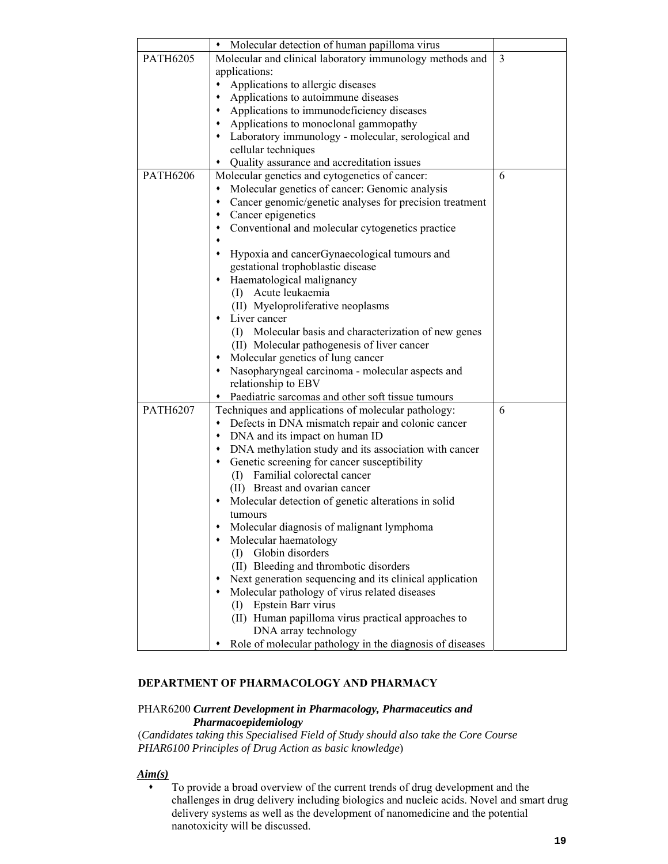|                 | Molecular detection of human papilloma virus                 |   |
|-----------------|--------------------------------------------------------------|---|
| <b>PATH6205</b> | Molecular and clinical laboratory immunology methods and     | 3 |
|                 | applications:                                                |   |
|                 | Applications to allergic diseases<br>٠                       |   |
|                 | Applications to autoimmune diseases<br>٠                     |   |
|                 | Applications to immunodeficiency diseases                    |   |
|                 | Applications to monoclonal gammopathy                        |   |
|                 | • Laboratory immunology - molecular, serological and         |   |
|                 | cellular techniques                                          |   |
|                 | Quality assurance and accreditation issues                   |   |
| <b>PATH6206</b> | Molecular genetics and cytogenetics of cancer:               | 6 |
|                 | Molecular genetics of cancer: Genomic analysis<br>٠          |   |
|                 | Cancer genomic/genetic analyses for precision treatment      |   |
|                 | Cancer epigenetics                                           |   |
|                 | Conventional and molecular cytogenetics practice             |   |
|                 |                                                              |   |
|                 | Hypoxia and cancerGynaecological tumours and                 |   |
|                 | gestational trophoblastic disease<br>$\bullet$               |   |
|                 | Haematological malignancy<br>Acute leukaemia                 |   |
|                 | $\left( \Gamma \right)$<br>(II) Myeloproliferative neoplasms |   |
|                 | Liver cancer                                                 |   |
|                 | (I) Molecular basis and characterization of new genes        |   |
|                 | (II) Molecular pathogenesis of liver cancer                  |   |
|                 | Molecular genetics of lung cancer                            |   |
|                 | Nasopharyngeal carcinoma - molecular aspects and             |   |
|                 | relationship to EBV                                          |   |
|                 | Paediatric sarcomas and other soft tissue tumours            |   |
| <b>PATH6207</b> | Techniques and applications of molecular pathology:          | 6 |
|                 | Defects in DNA mismatch repair and colonic cancer            |   |
|                 | • DNA and its impact on human ID                             |   |
|                 | DNA methylation study and its association with cancer        |   |
|                 | Genetic screening for cancer susceptibility                  |   |
|                 | (I) Familial colorectal cancer                               |   |
|                 | (II) Breast and ovarian cancer                               |   |
|                 | Molecular detection of genetic alterations in solid          |   |
|                 | tumours                                                      |   |
|                 | Molecular diagnosis of malignant lymphoma                    |   |
|                 | Molecular haematology                                        |   |
|                 | Globin disorders<br>(I)                                      |   |
|                 | (II) Bleeding and thrombotic disorders                       |   |
|                 | Next generation sequencing and its clinical application      |   |
|                 | Molecular pathology of virus related diseases                |   |
|                 | (I) Epstein Barr virus                                       |   |
|                 | (II) Human papilloma virus practical approaches to           |   |
|                 | DNA array technology                                         |   |
|                 | Role of molecular pathology in the diagnosis of diseases     |   |

#### **DEPARTMENT OF PHARMACOLOGY AND PHARMACY**

# PHAR6200 *Current Development in Pharmacology, Pharmaceutics and Pharmacoepidemiology*

 (*Candidates taking this Specialised Field of Study should also take the Core Course PHAR6100 Principles of Drug Action as basic knowledge*)

# *Aim(s)*

 To provide a broad overview of the current trends of drug development and the challenges in drug delivery including biologics and nucleic acids. Novel and smart drug nanotoxicity will be discussed. delivery systems as well as the development of nanomedicine and the potential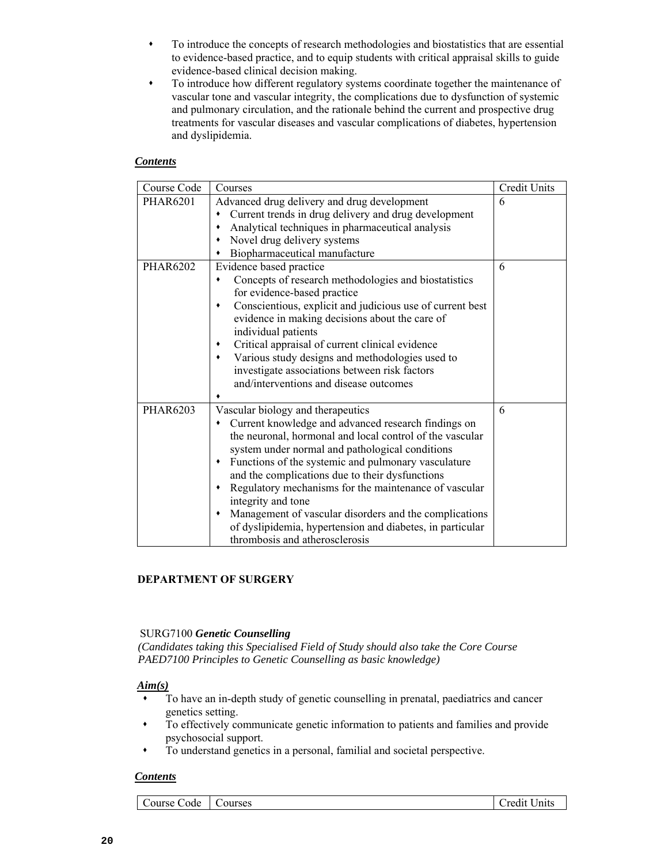- To introduce the concepts of research methodologies and biostatistics that are essential to evidence-based practice, and to equip students with critical appraisal skills to guide evidence-based clinical decision making.
- To introduce how different regulatory systems coordinate together the maintenance of vascular tone and vascular integrity, the complications due to dysfunction of systemic and pulmonary circulation, and the rationale behind the current and prospective drug treatments for vascular diseases and vascular complications of diabetes, hypertension and dyslipidemia.

| Course Code     | Courses                                                        | Credit Units |
|-----------------|----------------------------------------------------------------|--------------|
| <b>PHAR6201</b> | Advanced drug delivery and drug development                    | 6            |
|                 | Current trends in drug delivery and drug development           |              |
|                 | Analytical techniques in pharmaceutical analysis<br>٠          |              |
|                 | Novel drug delivery systems<br>$\blacklozenge$                 |              |
|                 | Biopharmaceutical manufacture                                  |              |
| <b>PHAR6202</b> | Evidence based practice                                        | 6            |
|                 | Concepts of research methodologies and biostatistics<br>٠      |              |
|                 | for evidence-based practice                                    |              |
|                 | Conscientious, explicit and judicious use of current best<br>٠ |              |
|                 | evidence in making decisions about the care of                 |              |
|                 | individual patients                                            |              |
|                 | Critical appraisal of current clinical evidence<br>٠           |              |
|                 | Various study designs and methodologies used to<br>٠           |              |
|                 | investigate associations between risk factors                  |              |
|                 | and/interventions and disease outcomes                         |              |
|                 |                                                                |              |
| <b>PHAR6203</b> | Vascular biology and therapeutics                              | 6            |
|                 | Current knowledge and advanced research findings on<br>٠       |              |
|                 | the neuronal, hormonal and local control of the vascular       |              |
|                 | system under normal and pathological conditions                |              |
|                 | Functions of the systemic and pulmonary vasculature<br>٠       |              |
|                 | and the complications due to their dysfunctions                |              |
|                 | Regulatory mechanisms for the maintenance of vascular<br>٠     |              |
|                 | integrity and tone                                             |              |
|                 | Management of vascular disorders and the complications<br>٠    |              |
|                 | of dyslipidemia, hypertension and diabetes, in particular      |              |
|                 | thrombosis and atherosclerosis                                 |              |

# **DEPARTMENT OF SURGERY**

# SURG7100 *Genetic Counselling*

 *(Candidates taking this Specialised Field of Study should also take the Core Course PAED7100 Principles to Genetic Counselling as basic knowledge)* 

# *Aim(s)*

- To have an in-depth study of genetic counselling in prenatal, paediatrics and cancer genetics setting.
- To effectively communicate genetic information to patients and families and provide psychosocial support.
- To understand genetics in a personal, familial and societal perspective.

# *Contents*

Course Code | Courses | Credit Units